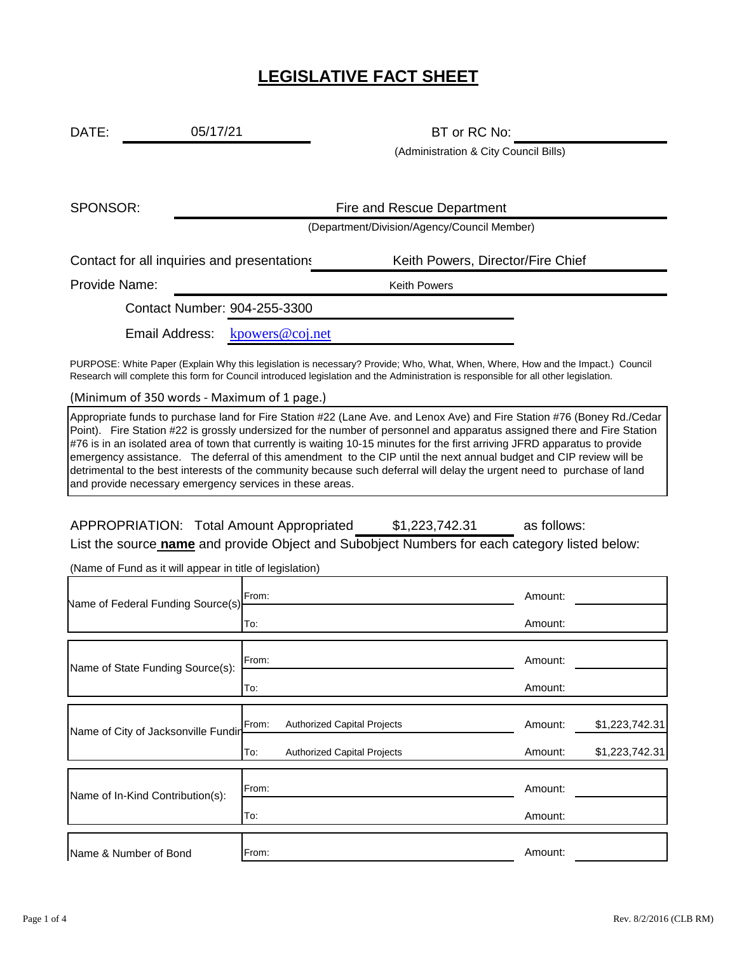## **LEGISLATIVE FACT SHEET**

DATE: 05/17/21 BT or RC No: 05/17/21

(Administration & City Council Bills)

SPONSOR:

Fire and Rescue Department

(Department/Division/Agency/Council Member)

Contact for all inquiries and presentations Keith Powers, Director/Fire Chief

Provide Name: Weith Powers

Contact Number: 904-255-3300

Email Address: [kp](mailto:kpowers@coj.net)owers@coj.net

PURPOSE: White Paper (Explain Why this legislation is necessary? Provide; Who, What, When, Where, How and the Impact.) Council Research will complete this form for Council introduced legislation and the Administration is responsible for all other legislation.

(Minimum of 350 words - Maximum of 1 page.)

Appropriate funds to purchase land for Fire Station #22 (Lane Ave. and Lenox Ave) and Fire Station #76 (Boney Rd./Cedar Point). Fire Station #22 is grossly undersized for the number of personnel and apparatus assigned there and Fire Station #76 is in an isolated area of town that currently is waiting 10-15 minutes for the first arriving JFRD apparatus to provide emergency assistance. The deferral of this amendment to the CIP until the next annual budget and CIP review will be detrimental to the best interests of the community because such deferral will delay the urgent need to purchase of land and provide necessary emergency services in these areas.

| APPROPRIATION: Total Amount Appropriated | \$1,223,742.31 | as follows: |
|------------------------------------------|----------------|-------------|
|                                          |                |             |

List the source **name** and provide Object and Subobject Numbers for each category listed below:

(Name of Fund as it will appear in title of legislation)

| Name of Federal Funding Source(s)   | From:                                       | Amount:                   |
|-------------------------------------|---------------------------------------------|---------------------------|
|                                     | To:                                         | Amount:                   |
| Name of State Funding Source(s):    | From:                                       | Amount:                   |
|                                     | To:                                         | Amount:                   |
| Name of City of Jacksonville Fundin | <b>Authorized Capital Projects</b><br>From: | \$1,223,742.31<br>Amount: |
|                                     | To:<br><b>Authorized Capital Projects</b>   | \$1,223,742.31<br>Amount: |
| Name of In-Kind Contribution(s):    | From:                                       | Amount:                   |
|                                     | To:                                         | Amount:                   |
| Name & Number of Bond               | From:                                       | Amount:                   |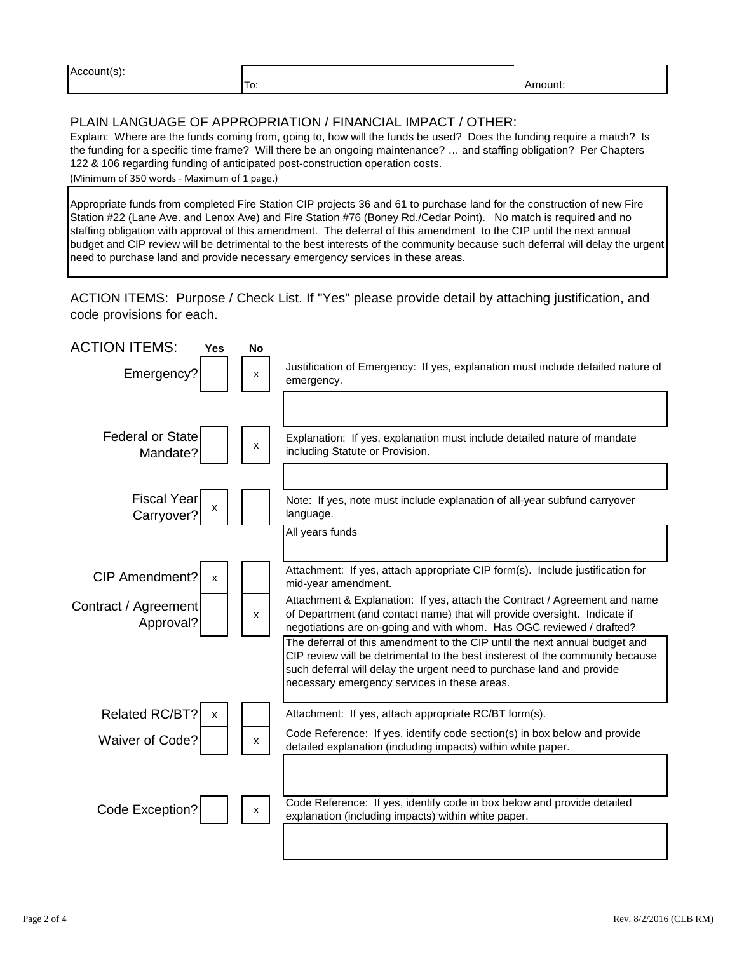| Account(s): |  |
|-------------|--|
|-------------|--|

Amount:

## PLAIN LANGUAGE OF APPROPRIATION / FINANCIAL IMPACT / OTHER:

To:

Explain: Where are the funds coming from, going to, how will the funds be used? Does the funding require a match? Is the funding for a specific time frame? Will there be an ongoing maintenance? … and staffing obligation? Per Chapters 122 & 106 regarding funding of anticipated post-construction operation costs.

(Minimum of 350 words - Maximum of 1 page.)

Appropriate funds from completed Fire Station CIP projects 36 and 61 to purchase land for the construction of new Fire Station #22 (Lane Ave. and Lenox Ave) and Fire Station #76 (Boney Rd./Cedar Point). No match is required and no staffing obligation with approval of this amendment. The deferral of this amendment to the CIP until the next annual budget and CIP review will be detrimental to the best interests of the community because such deferral will delay the urgent need to purchase land and provide necessary emergency services in these areas.

ACTION ITEMS: Purpose / Check List. If "Yes" please provide detail by attaching justification, and code provisions for each.

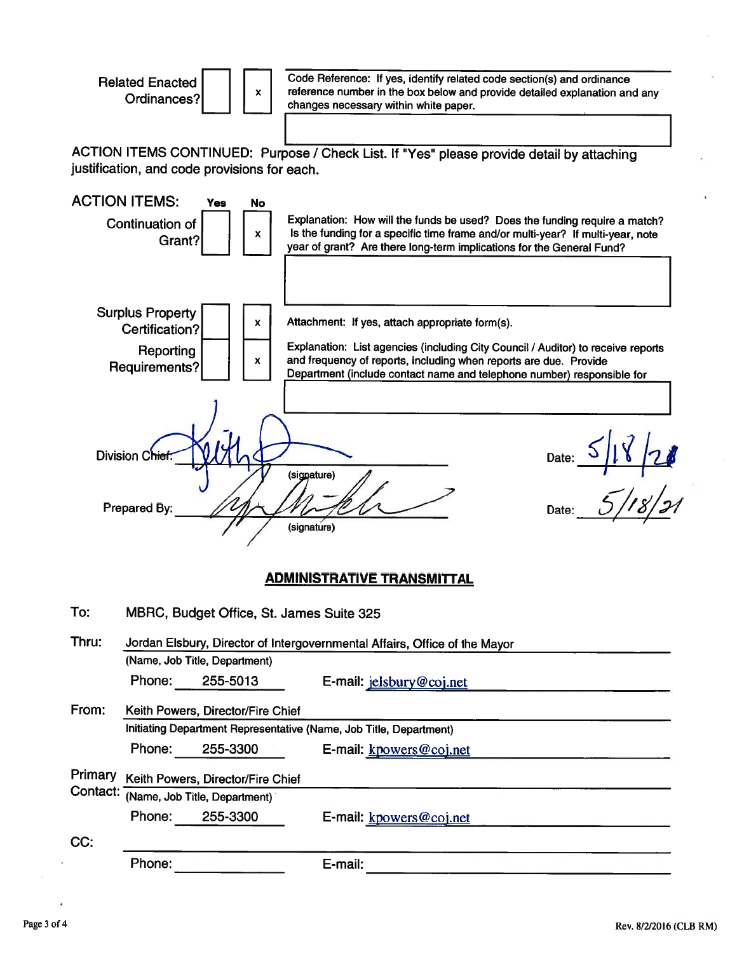**Related Enacted** Ordinances?



Code Reference: If yes, identify related code section(s) and ordinance reference number in the box below and provide detailed explanation and any changes necessary within white paper.

ACTION ITEMS CONTINUED: Purpose / Check List. If "Yes" please provide detail by attaching justification, and code provisions for each.



| Thru:    | Jordan Elsbury, Director of Intergovernmental Affairs, Office of the Mayor |                                   |                          |  |  |
|----------|----------------------------------------------------------------------------|-----------------------------------|--------------------------|--|--|
|          |                                                                            | (Name, Job Title, Department)     |                          |  |  |
|          | Phone:                                                                     | 255-5013                          | E-mail: jelsbury@coj.net |  |  |
| From:    | Keith Powers, Director/Fire Chief                                          |                                   |                          |  |  |
|          | Initiating Department Representative (Name, Job Title, Department)         |                                   |                          |  |  |
|          | Phone:                                                                     | 255-3300                          | E-mail: kpowers@coj.net  |  |  |
| Primary  |                                                                            | Keith Powers, Director/Fire Chief |                          |  |  |
| Contact: |                                                                            | (Name, Job Title, Department)     |                          |  |  |
|          | Phone:                                                                     | 255-3300                          | E-mail: kpowers@coj.net  |  |  |
| CC:      |                                                                            |                                   |                          |  |  |
|          | Phone:                                                                     |                                   | E-mail:                  |  |  |